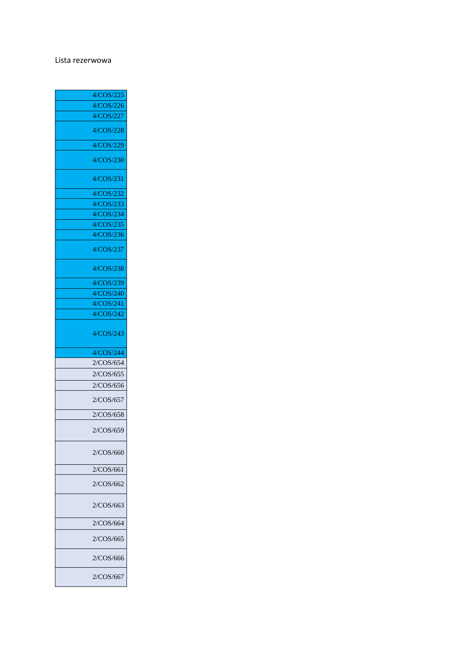## Lista rezerwowa

| 4/COS/225 |
|-----------|
| 4/COS/226 |
| 4/COS/227 |
| 4/COS/228 |
| 4/COS/229 |
| 4/COS/230 |
| 4/COS/231 |
| 4/COS/232 |
| 4/COS/233 |
| 4/COS/234 |
| 4/COS/235 |
| 4/COS/236 |
| 4/COS/237 |
| 4/COS/238 |
| 4/COS/239 |
| 4/COS/240 |
| 4/COS/241 |
| 4/COS/242 |
| 4/COS/243 |
|           |
| 4/COS/244 |
| 2/COS/654 |
| 2/COS/655 |
| 2/COS/656 |
| 2/COS/657 |
| 2/COS/658 |
| 2/COS/659 |
| 2/COS/660 |
| 2/COS/661 |
| 2/COS/662 |
| 2/COS/663 |
| 2/COS/664 |
| 2/COS/665 |
| 2/COS/666 |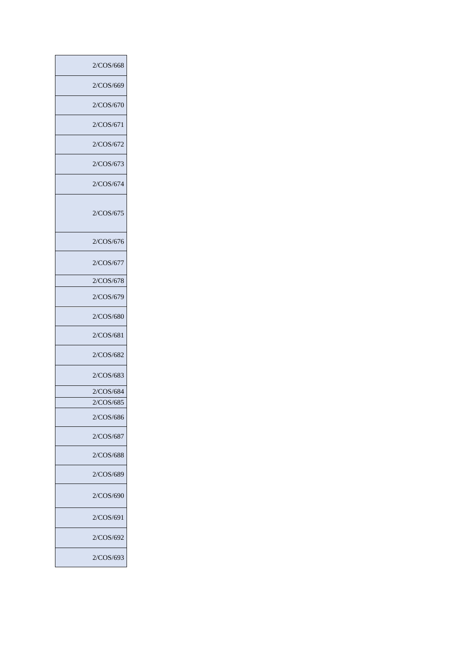| 2/COS/668 |
|-----------|
| 2/COS/669 |
| 2/COS/670 |
| 2/COS/671 |
| 2/COS/672 |
| 2/COS/673 |
| 2/COS/674 |
| 2/COS/675 |
| 2/COS/676 |
| 2/COS/677 |
| 2/COS/678 |
| 2/COS/679 |
| 2/COS/680 |
| 2/COS/681 |
| 2/COS/682 |
| 2/COS/683 |
| 2/COS/684 |
| 2/COS/685 |
| 2/COS/686 |
| 2/COS/687 |
| 2/COS/688 |
| 2/COS/689 |
| 2/COS/690 |
| 2/COS/691 |
| 2/COS/692 |
| 2/COS/693 |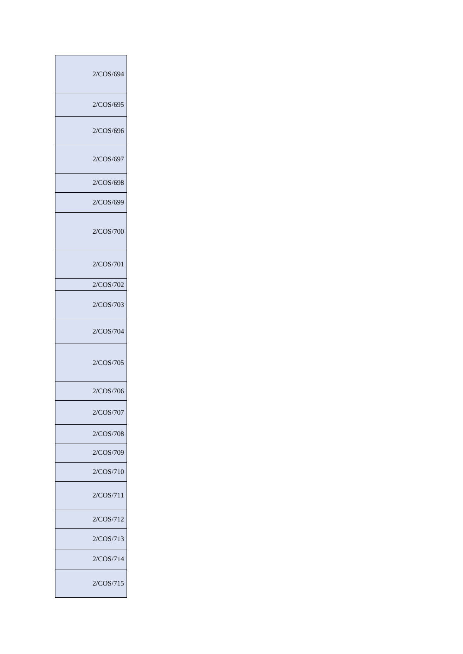| 2/COS/694 |
|-----------|
| 2/COS/695 |
| 2/COS/696 |
| 2/COS/697 |
| 2/COS/698 |
| 2/COS/699 |
| 2/COS/700 |
| 2/COS/701 |
| 2/COS/702 |
| 2/COS/703 |
| 2/COS/704 |
| 2/COS/705 |
| 2/COS/706 |
| 2/COS/707 |
| 2/COS/708 |
| 2/COS/709 |
| 2/COS/710 |
| 2/COS/711 |
| 2/COS/712 |
| 2/COS/713 |
| 2/COS/714 |
| 2/COS/715 |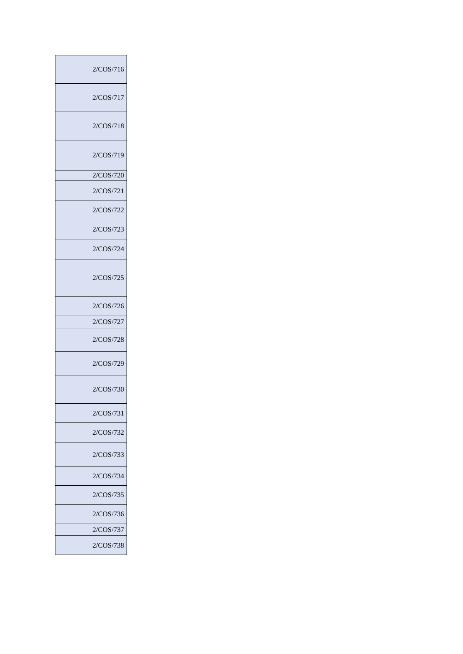| 2/COS/716 |
|-----------|
| 2/COS/717 |
| 2/COS/718 |
| 2/COS/719 |
| 2/COS/720 |
| 2/COS/721 |
| 2/COS/722 |
| 2/COS/723 |
| 2/COS/724 |
| 2/COS/725 |
| 2/COS/726 |
| 2/COS/727 |
| 2/COS/728 |
| 2/COS/729 |
| 2/COS/730 |
| 2/COS/731 |
| 2/COS/732 |
| 2/COS/733 |
| 2/COS/734 |
| 2/COS/735 |
| 2/COS/736 |
| 2/COS/737 |
| 2/COS/738 |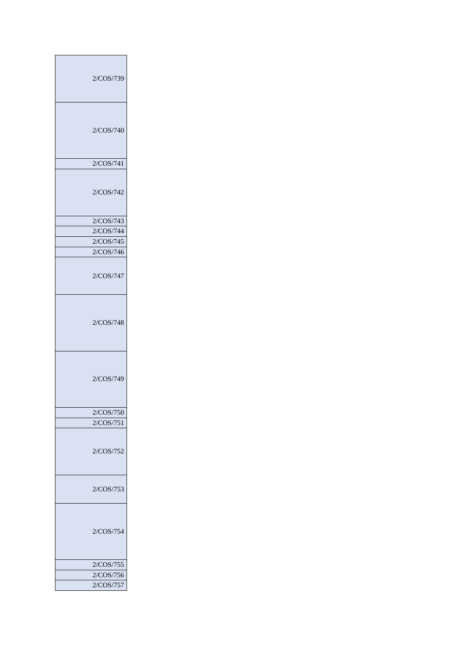| 2/COS/739 |
|-----------|
| 2/COS/740 |
| 2/COS/741 |
| 2/COS/742 |
|           |
| 2/COS/743 |
| 2/COS/744 |
| 2/COS/745 |
| 2/COS/746 |
| 2/COS/747 |
| 2/COS/748 |
| 2/COS/749 |
|           |
| 2/COS/750 |
| 2/COS/751 |
| 2/COS/752 |
| 2/COS/753 |
| 2/COS/754 |
|           |
| 2/COS/755 |
| 2/COS/756 |
| 2/COS/757 |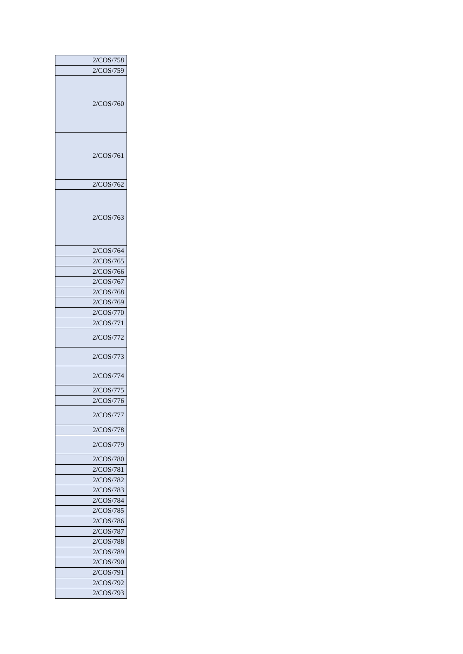| 2/COS/758 |
|-----------|
| 2/COS/759 |
|           |
|           |
|           |
| 2/COS/760 |
|           |
|           |
|           |
|           |
| 2/COS/761 |
|           |
|           |
| 2/COS/762 |
|           |
|           |
|           |
| 2/COS/763 |
|           |
|           |
| 2/COS/764 |
|           |
| 2/COS/765 |
| 2/COS/766 |
| 2/COS/767 |
| 2/COS/768 |
| 2/COS/769 |
| 2/COS/770 |
| 2/COS/771 |
|           |
| 2/COS/772 |
| 2/COS/773 |
|           |
| 2/COS/774 |
|           |
| 2/COS/775 |
| 2/COS/776 |
| 2/COS/777 |
|           |
| 2/COS/778 |
| 2/COS/779 |
|           |
| 2/COS/780 |
| 2/COS/781 |
| 2/COS/782 |
| 2/COS/783 |
| 2/COS/784 |
| 2/COS/785 |
| 2/COS/786 |
| 2/COS/787 |
|           |
| 2/COS/788 |
| 2/COS/789 |
| 2/COS/790 |
| 2/COS/791 |
| 2/COS/792 |
| 2/COS/793 |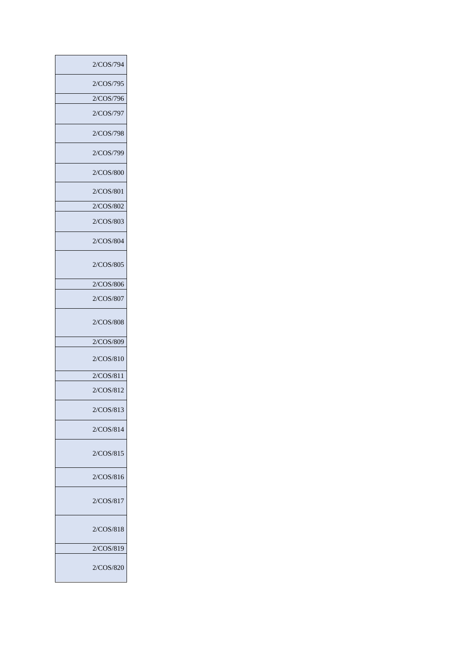| 2/COS/794 |
|-----------|
| 2/COS/795 |
| 2/COS/796 |
| 2/COS/797 |
| 2/COS/798 |
| 2/COS/799 |
| 2/COS/800 |
| 2/COS/801 |
| 2/COS/802 |
| 2/COS/803 |
| 2/COS/804 |
| 2/COS/805 |
| 2/COS/806 |
| 2/COS/807 |
| 2/COS/808 |
| 2/COS/809 |
| 2/COS/810 |
| 2/COS/811 |
| 2/COS/812 |
| 2/COS/813 |
| 2/COS/814 |
| 2/COS/815 |
| 2/COS/816 |
| 2/COS/817 |
| 2/COS/818 |
| 2/COS/819 |
| 2/COS/820 |
|           |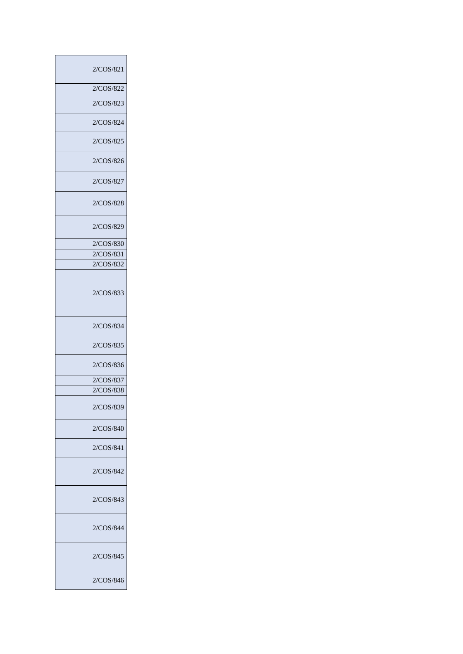| 2/COS/821 |
|-----------|
| 2/COS/822 |
| 2/COS/823 |
| 2/COS/824 |
| 2/COS/825 |
| 2/COS/826 |
| 2/COS/827 |
| 2/COS/828 |
| 2/COS/829 |
| 2/COS/830 |
| 2/COS/831 |
| 2/COS/832 |
| 2/COS/833 |
| 2/COS/834 |
| 2/COS/835 |
| 2/COS/836 |
| 2/COS/837 |
| 2/COS/838 |
| 2/COS/839 |
| 2/COS/840 |
| 2/COS/841 |
| 2/COS/842 |
| 2/COS/843 |
| 2/COS/844 |
| 2/COS/845 |
| 2/COS/846 |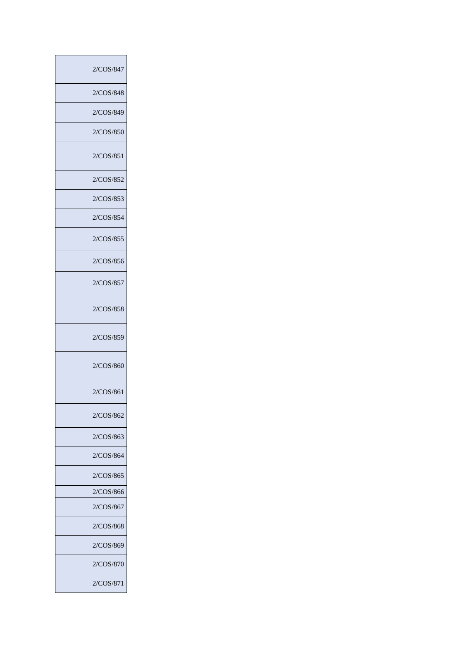| 2/COS/847 |
|-----------|
| 2/COS/848 |
| 2/COS/849 |
| 2/COS/850 |
| 2/COS/851 |
| 2/COS/852 |
| 2/COS/853 |
| 2/COS/854 |
| 2/COS/855 |
| 2/COS/856 |
| 2/COS/857 |
| 2/COS/858 |
| 2/COS/859 |
| 2/COS/860 |
| 2/COS/861 |
| 2/COS/862 |
| 2/COS/863 |
| 2/COS/864 |
| 2/COS/865 |
| 2/COS/866 |
| 2/COS/867 |
| 2/COS/868 |
| 2/COS/869 |
| 2/COS/870 |
| 2/COS/871 |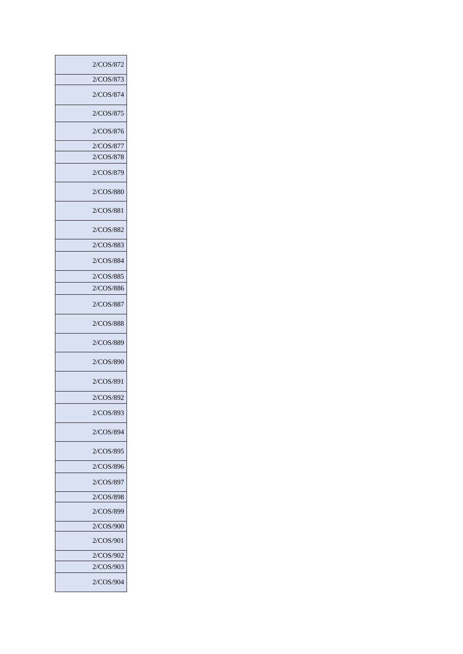| 2/COS/872 |
|-----------|
| 2/COS/873 |
| 2/COS/874 |
| 2/COS/875 |
| 2/COS/876 |
| 2/COS/877 |
| 2/COS/878 |
| 2/COS/879 |
| 2/COS/880 |
| 2/COS/881 |
| 2/COS/882 |
| 2/COS/883 |
| 2/COS/884 |
| 2/COS/885 |
| 2/COS/886 |
| 2/COS/887 |
| 2/COS/888 |
| 2/COS/889 |
| 2/COS/890 |
| 2/COS/891 |
| 2/COS/892 |
| 2/COS/893 |
| 2/COS/894 |
| 2/COS/895 |
| 2/COS/896 |
| 2/COS/897 |
| 2/COS/898 |
| 2/COS/899 |
| 2/COS/900 |
| 2/COS/901 |
| 2/COS/902 |
| 2/COS/903 |
| 2/COS/904 |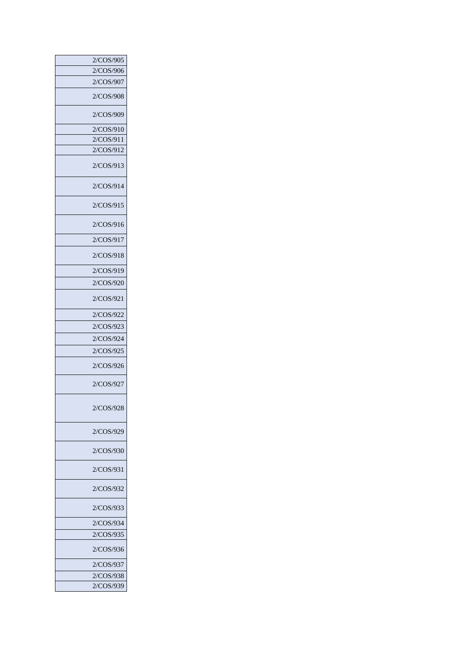| 2/COS/905 |
|-----------|
| 2/COS/906 |
| 2/COS/907 |
| 2/COS/908 |
| 2/COS/909 |
| 2/COS/910 |
| 2/COS/911 |
| 2/COS/912 |
| 2/COS/913 |
| 2/COS/914 |
| 2/COS/915 |
| 2/COS/916 |
| 2/COS/917 |
| 2/COS/918 |
| 2/COS/919 |
| 2/COS/920 |
| 2/COS/921 |
| 2/COS/922 |
| 2/COS/923 |
| 2/COS/924 |
| 2/COS/925 |
| 2/COS/926 |
| 2/COS/927 |
| 2/COS/928 |
| 2/COS/929 |
| 2/COS/930 |
| 2/COS/931 |
| 2/COS/932 |
| 2/COS/933 |
| 2/COS/934 |
| 2/COS/935 |
| 2/COS/936 |
| 2/COS/937 |
| 2/COS/938 |
| 2/COS/939 |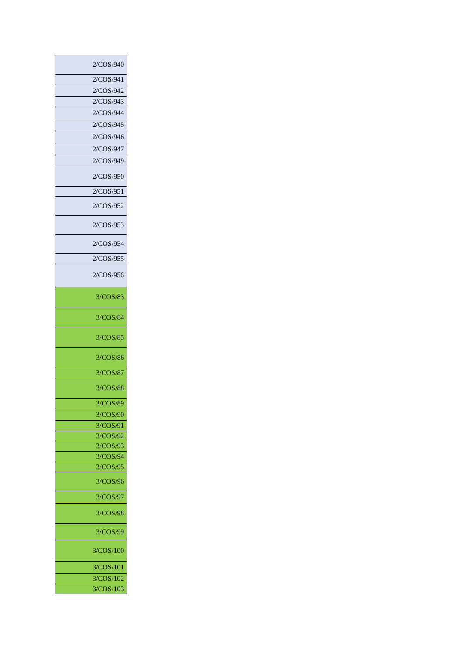| 2/COS/940 |
|-----------|
| 2/COS/941 |
| 2/COS/942 |
| 2/COS/943 |
| 2/COS/944 |
| 2/COS/945 |
| 2/COS/946 |
| 2/COS/947 |
| 2/COS/949 |
| 2/COS/950 |
|           |
| 2/COS/951 |
| 2/COS/952 |
| 2/COS/953 |
| 2/COS/954 |
| 2/COS/955 |
| 2/COS/956 |
| 3/COS/83  |
| 3/COS/84  |
| 3/COS/85  |
| 3/COS/86  |
| 3/COS/87  |
| 3/COS/88  |
| 3/COS/89  |
| 3/COS/90  |
| 3/COS/91  |
| 3/COS/92  |
| 3/COS/93  |
| 3/COS/94  |
| 3/COS/95  |
| 3/COS/96  |
| 3/COS/97  |
| 3/COS/98  |
| 3/COS/99  |
| 3/COS/100 |
| 3/COS/101 |
| 3/COS/102 |
|           |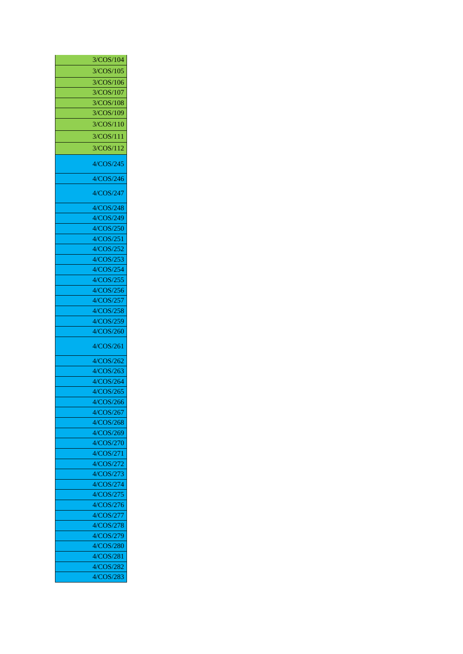| 3/COS/104 |
|-----------|
| 3/COS/105 |
| 3/COS/106 |
| 3/COS/107 |
| 3/COS/108 |
| 3/COS/109 |
| 3/COS/110 |
| 3/COS/111 |
| 3/COS/112 |
|           |
| 4/COS/245 |
| 4/COS/246 |
| 4/COS/247 |
| 4/COS/248 |
| 4/COS/249 |
| 4/COS/250 |
| 4/COS/251 |
| 4/COS/252 |
| 4/COS/253 |
| 4/COS/254 |
| 4/COS/255 |
| 4/COS/256 |
| 4/COS/257 |
| 4/COS/258 |
| 4/COS/259 |
| 4/COS/260 |
| 4/COS/261 |
| 4/COS/262 |
| 4/COS/263 |
| 4/COS/264 |
| 4/COS/265 |
| 4/COS/266 |
| 4/COS/267 |
| 4/COS/268 |
| 4/COS/269 |
| 4/COS/270 |
| 4/COS/271 |
| 4/COS/272 |
| 4/COS/273 |
| 4/COS/274 |
| 4/COS/275 |
| 4/COS/276 |
| 4/COS/277 |
| 4/COS/278 |
| 4/COS/279 |
| 4/COS/280 |
| 4/COS/281 |
| 4/COS/282 |
| 4/COS/283 |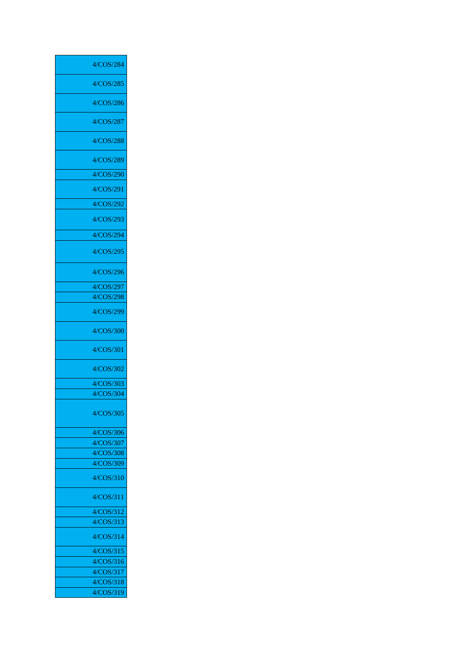| 4/COS/284              |
|------------------------|
| 4/COS/285              |
| 4/COS/286              |
| 4/COS/287              |
| 4/COS/288              |
| 4/COS/289              |
| 4/COS/290              |
|                        |
| 4/COS/291              |
| 4/COS/292              |
| 4/COS/293              |
| 4/COS/294              |
| 4/COS/295              |
| 4/COS/296              |
| 4/COS/297              |
| 4/COS/298              |
| 4/COS/299              |
| 4/COS/300              |
| 4/COS/301              |
| 4/COS/302              |
| 4/COS/303              |
| 4/COS/304              |
| 4/COS/305              |
| 4/COS/306              |
| 4/COS/307              |
| 4/COS/308              |
| 4/COS/309              |
| 4/COS/310              |
| 4/COS/311              |
| 4/COS/312              |
| 4/COS/313              |
| 4/COS/314              |
| 4/COS/315              |
| 4/COS/316<br>4/COS/317 |
| 4/COS/318              |
| 4/COS/319              |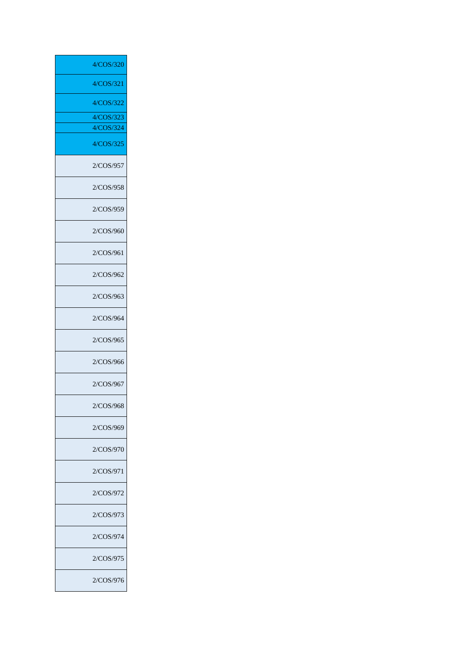| 4/COS/320 |
|-----------|
|           |
| 4/COS/321 |
| 4/COS/322 |
| 4/COS/323 |
| 4/COS/324 |
| 4/COS/325 |
| 2/COS/957 |
| 2/COS/958 |
| 2/COS/959 |
| 2/COS/960 |
| 2/COS/961 |
| 2/COS/962 |
| 2/COS/963 |
| 2/COS/964 |
| 2/COS/965 |
| 2/COS/966 |
| 2/COS/967 |
| 2/COS/968 |
| 2/COS/969 |
| 2/COS/970 |
| 2/COS/971 |
| 2/COS/972 |
| 2/COS/973 |
| 2/COS/974 |
| 2/COS/975 |
| 2/COS/976 |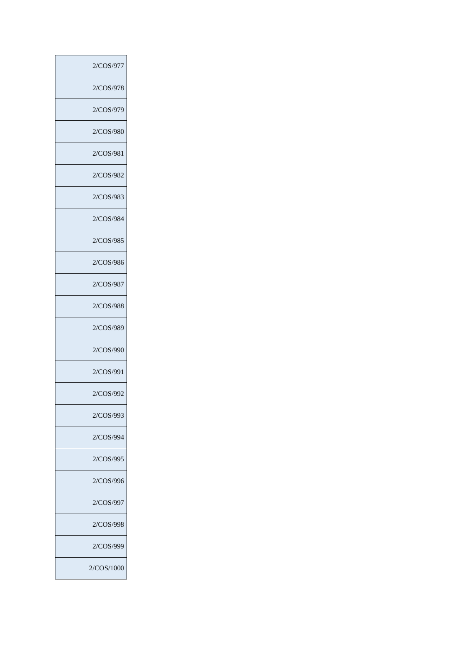| 2/COS/977  |
|------------|
| 2/COS/978  |
| 2/COS/979  |
| 2/COS/980  |
| 2/COS/981  |
| 2/COS/982  |
| 2/COS/983  |
| 2/COS/984  |
| 2/COS/985  |
| 2/COS/986  |
| 2/COS/987  |
| 2/COS/988  |
| 2/COS/989  |
| 2/COS/990  |
| 2/COS/991  |
| 2/COS/992  |
| 2/COS/993  |
| 2/COS/994  |
| 2/COS/995  |
| 2/COS/996  |
| 2/COS/997  |
| 2/COS/998  |
| 2/COS/999  |
| 2/COS/1000 |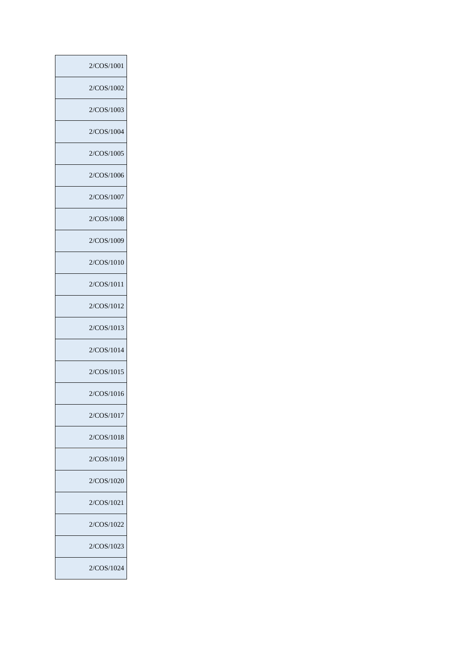| 2/COS/1001 |
|------------|
| 2/COS/1002 |
| 2/COS/1003 |
| 2/COS/1004 |
| 2/COS/1005 |
| 2/COS/1006 |
| 2/COS/1007 |
| 2/COS/1008 |
| 2/COS/1009 |
| 2/COS/1010 |
| 2/COS/1011 |
| 2/COS/1012 |
| 2/COS/1013 |
| 2/COS/1014 |
| 2/COS/1015 |
| 2/COS/1016 |
| 2/COS/1017 |
| 2/COS/1018 |
| 2/COS/1019 |
| 2/COS/1020 |
| 2/COS/1021 |
| 2/COS/1022 |
| 2/COS/1023 |
| 2/COS/1024 |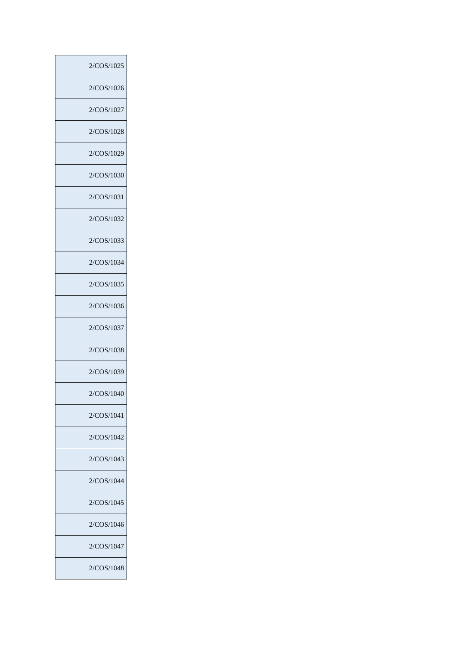| 2/COS/1025 |
|------------|
| 2/COS/1026 |
| 2/COS/1027 |
| 2/COS/1028 |
| 2/COS/1029 |
| 2/COS/1030 |
| 2/COS/1031 |
| 2/COS/1032 |
| 2/COS/1033 |
| 2/COS/1034 |
| 2/COS/1035 |
| 2/COS/1036 |
| 2/COS/1037 |
| 2/COS/1038 |
| 2/COS/1039 |
| 2/COS/1040 |
| 2/COS/1041 |
| 2/COS/1042 |
| 2/COS/1043 |
| 2/COS/1044 |
| 2/COS/1045 |
| 2/COS/1046 |
| 2/COS/1047 |
| 2/COS/1048 |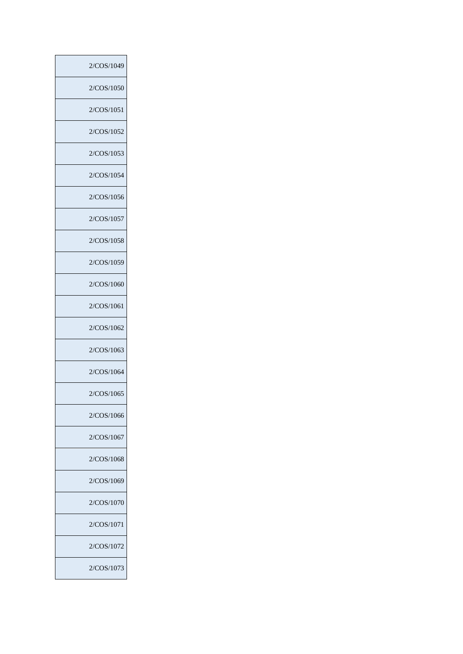Ī

 $\overline{\phantom{a}}$ 

 $\overline{\phantom{a}}$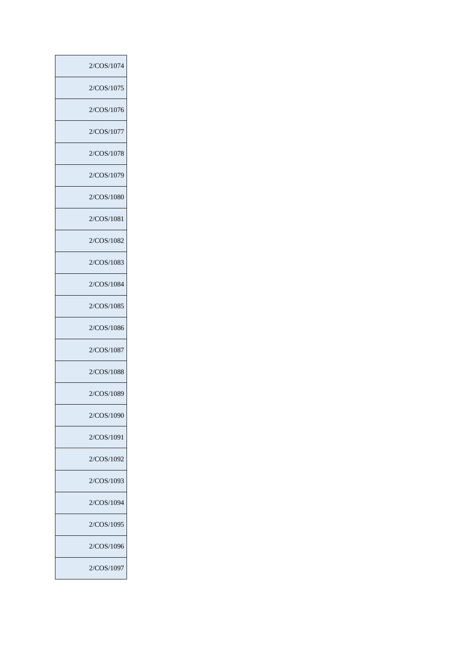| 2/COS/1074 |
|------------|
| 2/COS/1075 |
| 2/COS/1076 |
| 2/COS/1077 |
| 2/COS/1078 |
| 2/COS/1079 |
| 2/COS/1080 |
| 2/COS/1081 |
| 2/COS/1082 |
| 2/COS/1083 |
| 2/COS/1084 |
| 2/COS/1085 |
| 2/COS/1086 |
| 2/COS/1087 |
| 2/COS/1088 |
| 2/COS/1089 |
| 2/COS/1090 |
| 2/COS/1091 |
| 2/COS/1092 |
| 2/COS/1093 |
| 2/COS/1094 |
| 2/COS/1095 |
| 2/COS/1096 |
| 2/COS/1097 |

Ī

 $\overline{\phantom{a}}$ 

 $\overline{\phantom{a}}$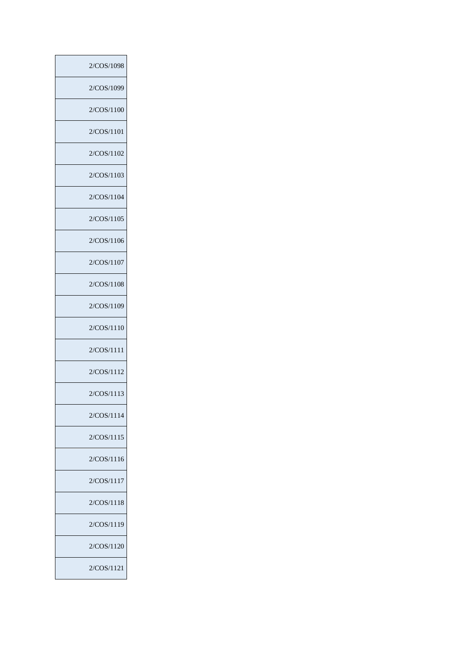| 2/COS/1098 |
|------------|
| 2/COS/1099 |
| 2/COS/1100 |
| 2/COS/1101 |
| 2/COS/1102 |
| 2/COS/1103 |
| 2/COS/1104 |
| 2/COS/1105 |
| 2/COS/1106 |
| 2/COS/1107 |
| 2/COS/1108 |
| 2/COS/1109 |
| 2/COS/1110 |
| 2/COS/1111 |
| 2/COS/1112 |
| 2/COS/1113 |
| 2/COS/1114 |
| 2/COS/1115 |
| 2/COS/1116 |
| 2/COS/1117 |
| 2/COS/1118 |
| 2/COS/1119 |
| 2/COS/1120 |
| 2/COS/1121 |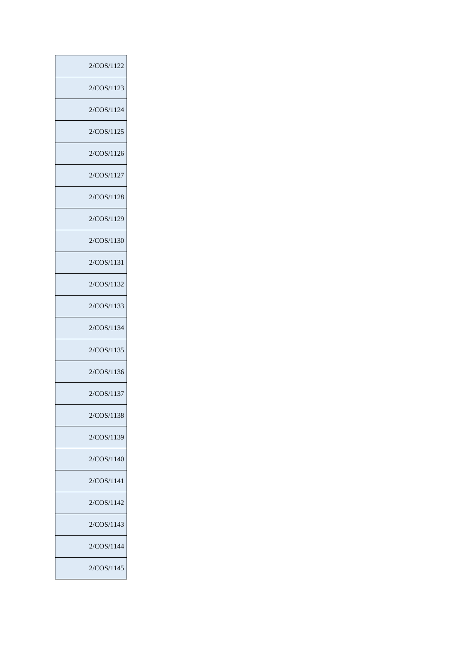| 2/COS/1122 |
|------------|
| 2/COS/1123 |
| 2/COS/1124 |
| 2/COS/1125 |
| 2/COS/1126 |
| 2/COS/1127 |
| 2/COS/1128 |
| 2/COS/1129 |
| 2/COS/1130 |
| 2/COS/1131 |
| 2/COS/1132 |
| 2/COS/1133 |
| 2/COS/1134 |
| 2/COS/1135 |
| 2/COS/1136 |
| 2/COS/1137 |
| 2/COS/1138 |
| 2/COS/1139 |
| 2/COS/1140 |
| 2/COS/1141 |
| 2/COS/1142 |
| 2/COS/1143 |
| 2/COS/1144 |
| 2/COS/1145 |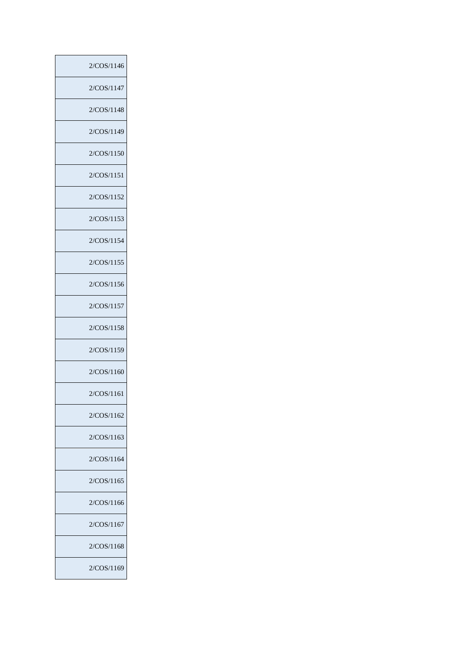| 2/COS/1146 |
|------------|
| 2/COS/1147 |
| 2/COS/1148 |
| 2/COS/1149 |
| 2/COS/1150 |
| 2/COS/1151 |
| 2/COS/1152 |
| 2/COS/1153 |
| 2/COS/1154 |
| 2/COS/1155 |
| 2/COS/1156 |
| 2/COS/1157 |
| 2/COS/1158 |
| 2/COS/1159 |
| 2/COS/1160 |
| 2/COS/1161 |
| 2/COS/1162 |
| 2/COS/1163 |
| 2/COS/1164 |
| 2/COS/1165 |
| 2/COS/1166 |
| 2/COS/1167 |
| 2/COS/1168 |
| 2/COS/1169 |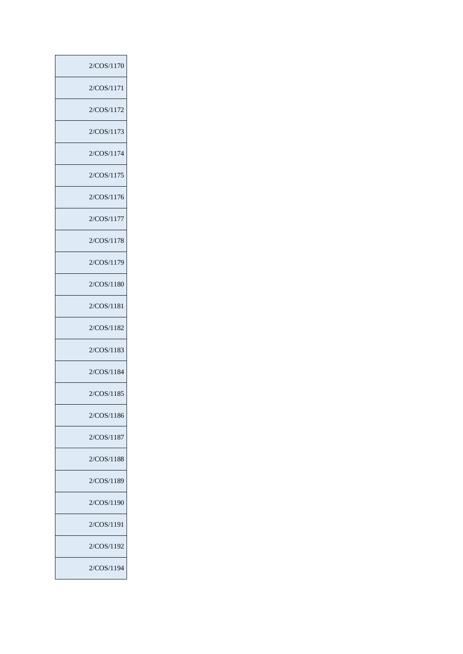| 2/COS/1170 |
|------------|
| 2/COS/1171 |
| 2/COS/1172 |
| 2/COS/1173 |
| 2/COS/1174 |
| 2/COS/1175 |
| 2/COS/1176 |
| 2/COS/1177 |
| 2/COS/1178 |
| 2/COS/1179 |
| 2/COS/1180 |
| 2/COS/1181 |
| 2/COS/1182 |
| 2/COS/1183 |
| 2/COS/1184 |
| 2/COS/1185 |
| 2/COS/1186 |
| 2/COS/1187 |
| 2/COS/1188 |
| 2/COS/1189 |
| 2/COS/1190 |
| 2/COS/1191 |
| 2/COS/1192 |
| 2/COS/1194 |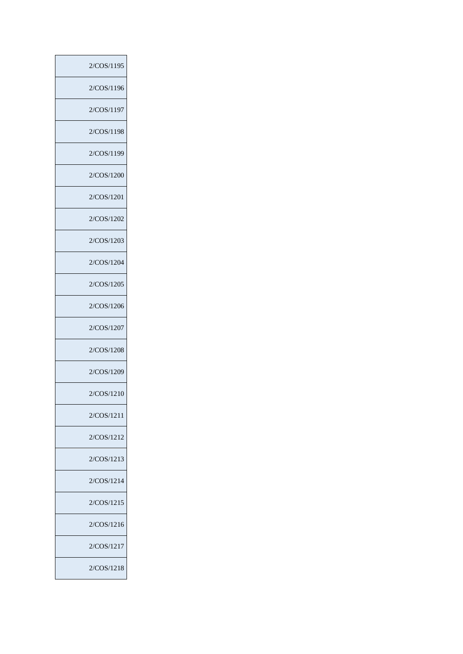| 2/COS/1195 |
|------------|
| 2/COS/1196 |
| 2/COS/1197 |
| 2/COS/1198 |
| 2/COS/1199 |
| 2/COS/1200 |
| 2/COS/1201 |
| 2/COS/1202 |
| 2/COS/1203 |
| 2/COS/1204 |
| 2/COS/1205 |
| 2/COS/1206 |
| 2/COS/1207 |
| 2/COS/1208 |
| 2/COS/1209 |
| 2/COS/1210 |
| 2/COS/1211 |
| 2/COS/1212 |
| 2/COS/1213 |
| 2/COS/1214 |
| 2/COS/1215 |
| 2/COS/1216 |
| 2/COS/1217 |
| 2/COS/1218 |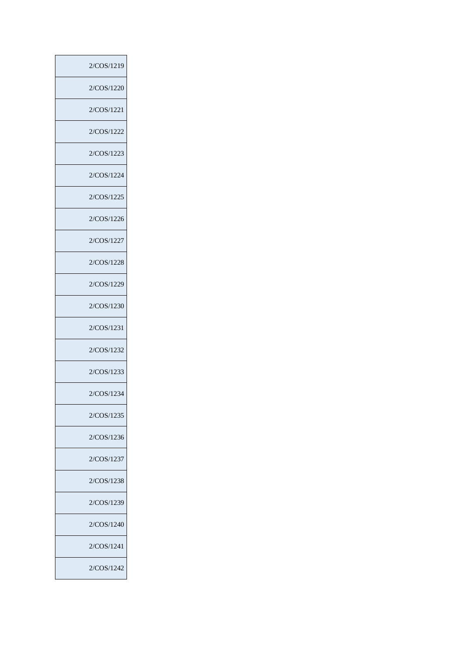| 2/COS/1219 |
|------------|
| 2/COS/1220 |
| 2/COS/1221 |
| 2/COS/1222 |
| 2/COS/1223 |
| 2/COS/1224 |
| 2/COS/1225 |
| 2/COS/1226 |
| 2/COS/1227 |
| 2/COS/1228 |
| 2/COS/1229 |
| 2/COS/1230 |
| 2/COS/1231 |
| 2/COS/1232 |
| 2/COS/1233 |
| 2/COS/1234 |
| 2/COS/1235 |
| 2/COS/1236 |
| 2/COS/1237 |
| 2/COS/1238 |
| 2/COS/1239 |
| 2/COS/1240 |
| 2/COS/1241 |
| 2/COS/1242 |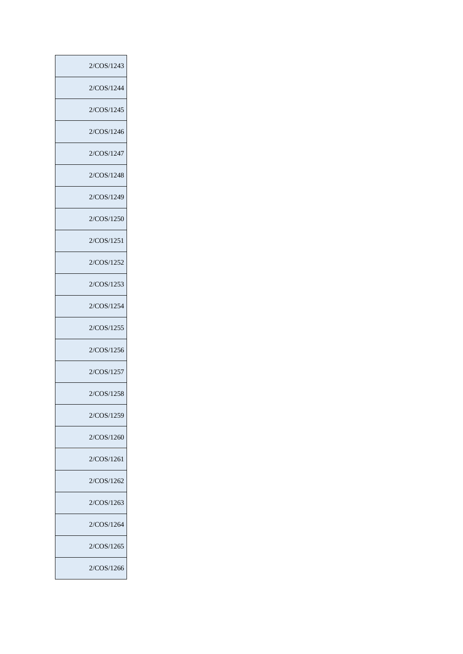| 2/COS/1243 |
|------------|
| 2/COS/1244 |
| 2/COS/1245 |
| 2/COS/1246 |
| 2/COS/1247 |
| 2/COS/1248 |
| 2/COS/1249 |
| 2/COS/1250 |
| 2/COS/1251 |
| 2/COS/1252 |
| 2/COS/1253 |
| 2/COS/1254 |
| 2/COS/1255 |
| 2/COS/1256 |
| 2/COS/1257 |
| 2/COS/1258 |
| 2/COS/1259 |
| 2/COS/1260 |
| 2/COS/1261 |
| 2/COS/1262 |
| 2/COS/1263 |
| 2/COS/1264 |
| 2/COS/1265 |
| 2/COS/1266 |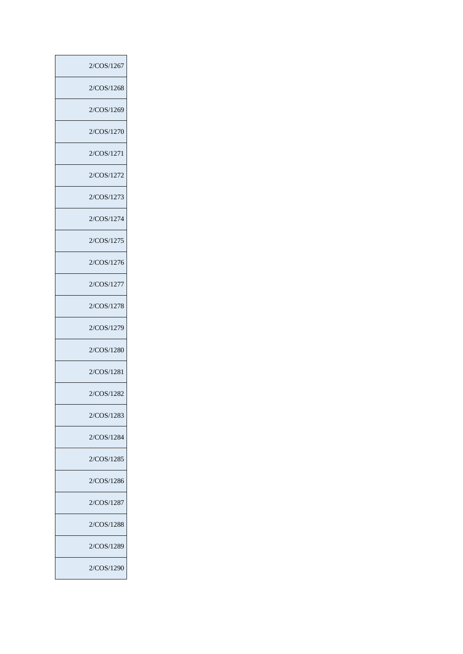| 2/COS/1267 |
|------------|
| 2/COS/1268 |
| 2/COS/1269 |
| 2/COS/1270 |
| 2/COS/1271 |
| 2/COS/1272 |
| 2/COS/1273 |
| 2/COS/1274 |
| 2/COS/1275 |
| 2/COS/1276 |
| 2/COS/1277 |
| 2/COS/1278 |
| 2/COS/1279 |
| 2/COS/1280 |
| 2/COS/1281 |
| 2/COS/1282 |
| 2/COS/1283 |
| 2/COS/1284 |
| 2/COS/1285 |
| 2/COS/1286 |
| 2/COS/1287 |
| 2/COS/1288 |
| 2/COS/1289 |
| 2/COS/1290 |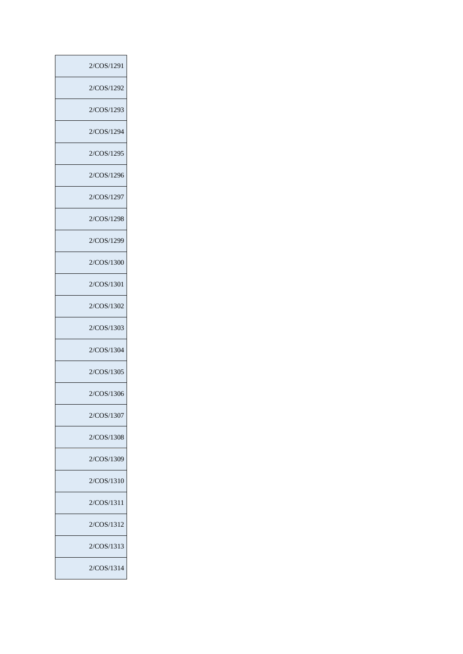| 2/COS/1291 |
|------------|
| 2/COS/1292 |
| 2/COS/1293 |
| 2/COS/1294 |
| 2/COS/1295 |
| 2/COS/1296 |
| 2/COS/1297 |
| 2/COS/1298 |
| 2/COS/1299 |
| 2/COS/1300 |
| 2/COS/1301 |
| 2/COS/1302 |
| 2/COS/1303 |
| 2/COS/1304 |
| 2/COS/1305 |
| 2/COS/1306 |
| 2/COS/1307 |
| 2/COS/1308 |
| 2/COS/1309 |
| 2/COS/1310 |
| 2/COS/1311 |
| 2/COS/1312 |
| 2/COS/1313 |
| 2/COS/1314 |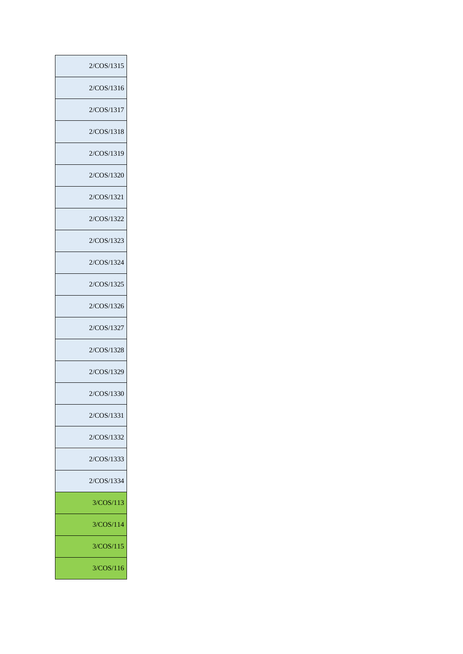| 2/COS/1315 |
|------------|
| 2/COS/1316 |
| 2/COS/1317 |
| 2/COS/1318 |
| 2/COS/1319 |
| 2/COS/1320 |
| 2/COS/1321 |
| 2/COS/1322 |
| 2/COS/1323 |
| 2/COS/1324 |
| 2/COS/1325 |
| 2/COS/1326 |
| 2/COS/1327 |
| 2/COS/1328 |
| 2/COS/1329 |
| 2/COS/1330 |
| 2/COS/1331 |
| 2/COS/1332 |
| 2/COS/1333 |
| 2/COS/1334 |
| 3/COS/113  |
| 3/COS/114  |
| 3/COS/115  |
| 3/COS/116  |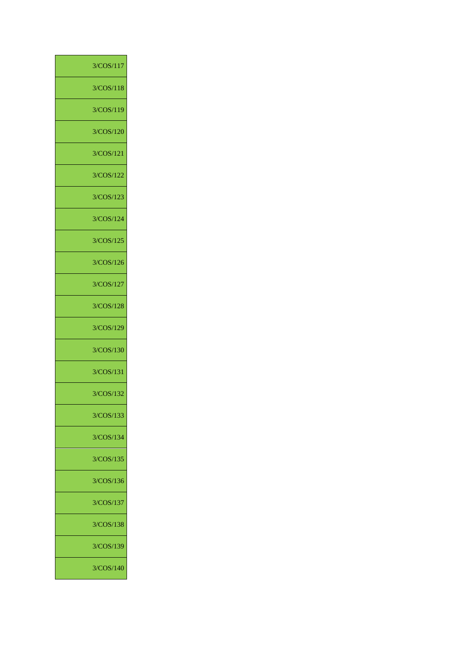| 3/COS/117 |  |
|-----------|--|
| 3/COS/118 |  |
| 3/COS/119 |  |
| 3/COS/120 |  |
| 3/COS/121 |  |
| 3/COS/122 |  |
| 3/COS/123 |  |
| 3/COS/124 |  |
| 3/COS/125 |  |
| 3/COS/126 |  |
| 3/COS/127 |  |
| 3/COS/128 |  |
| 3/COS/129 |  |
| 3/COS/130 |  |
| 3/COS/131 |  |
| 3/COS/132 |  |
| 3/COS/133 |  |
| 3/COS/134 |  |
| 3/COS/135 |  |
| 3/COS/136 |  |
| 3/COS/137 |  |
| 3/COS/138 |  |
| 3/COS/139 |  |
| 3/COS/140 |  |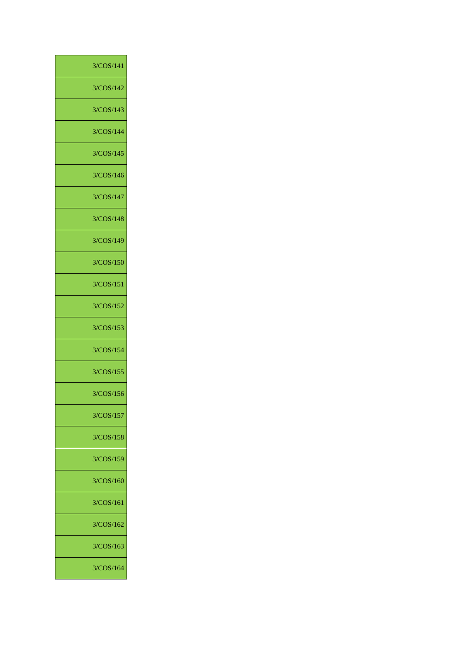| 3/COS/142<br>3/COS/143<br>3/COS/144<br>3/COS/145<br>3/COS/146<br>3/COS/147<br>3/COS/148<br>3/COS/149<br>3/COS/150<br>3/COS/151<br>3/COS/152<br>3/COS/153<br>3/COS/154<br>3/COS/155<br>3/COS/156<br>3/COS/157<br>3/COS/158<br>3/COS/159<br>3/COS/160<br>3/COS/161<br>3/COS/162<br>3/COS/163<br>3/COS/164 | 3/COS/141 |
|---------------------------------------------------------------------------------------------------------------------------------------------------------------------------------------------------------------------------------------------------------------------------------------------------------|-----------|
|                                                                                                                                                                                                                                                                                                         |           |
|                                                                                                                                                                                                                                                                                                         |           |
|                                                                                                                                                                                                                                                                                                         |           |
|                                                                                                                                                                                                                                                                                                         |           |
|                                                                                                                                                                                                                                                                                                         |           |
|                                                                                                                                                                                                                                                                                                         |           |
|                                                                                                                                                                                                                                                                                                         |           |
|                                                                                                                                                                                                                                                                                                         |           |
|                                                                                                                                                                                                                                                                                                         |           |
|                                                                                                                                                                                                                                                                                                         |           |
|                                                                                                                                                                                                                                                                                                         |           |
|                                                                                                                                                                                                                                                                                                         |           |
|                                                                                                                                                                                                                                                                                                         |           |
|                                                                                                                                                                                                                                                                                                         |           |
|                                                                                                                                                                                                                                                                                                         |           |
|                                                                                                                                                                                                                                                                                                         |           |
|                                                                                                                                                                                                                                                                                                         |           |
|                                                                                                                                                                                                                                                                                                         |           |
|                                                                                                                                                                                                                                                                                                         |           |
|                                                                                                                                                                                                                                                                                                         |           |
|                                                                                                                                                                                                                                                                                                         |           |
|                                                                                                                                                                                                                                                                                                         |           |
|                                                                                                                                                                                                                                                                                                         |           |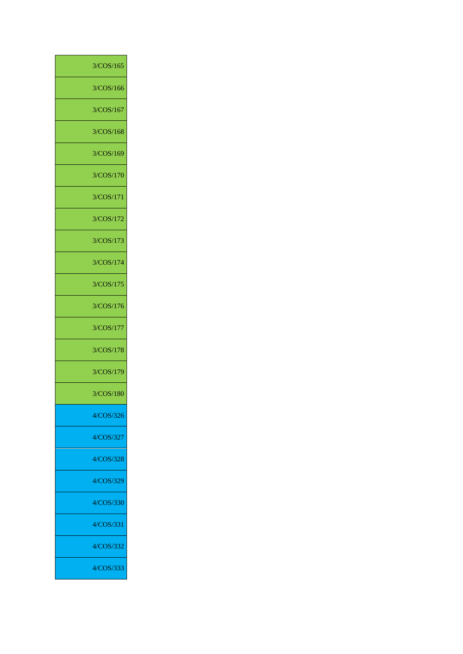| 3/COS/165 |
|-----------|
| 3/COS/166 |
| 3/COS/167 |
| 3/COS/168 |
| 3/COS/169 |
| 3/COS/170 |
| 3/COS/171 |
| 3/COS/172 |
| 3/COS/173 |
| 3/COS/174 |
| 3/COS/175 |
| 3/COS/176 |
| 3/COS/177 |
| 3/COS/178 |
| 3/COS/179 |
| 3/COS/180 |
| 4/COS/326 |
| 4/COS/327 |
| 4/COS/328 |
| 4/COS/329 |
| 4/COS/330 |
| 4/COS/331 |
| 4/COS/332 |
| 4/COS/333 |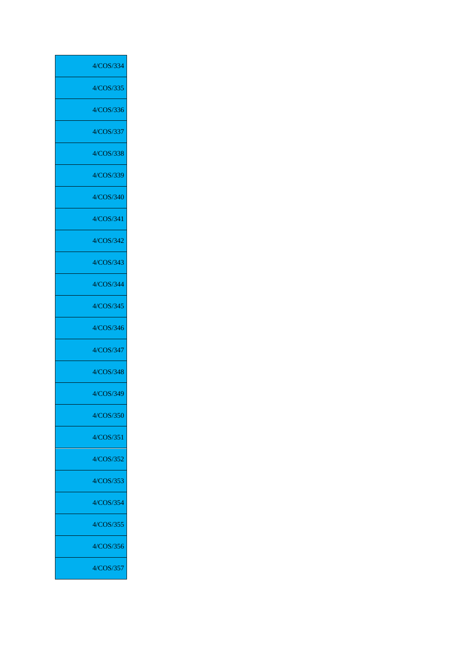| 4/COS/334 |
|-----------|
| 4/COS/335 |
| 4/COS/336 |
| 4/COS/337 |
| 4/COS/338 |
| 4/COS/339 |
| 4/COS/340 |
| 4/COS/341 |
| 4/COS/342 |
| 4/COS/343 |
| 4/COS/344 |
| 4/COS/345 |
| 4/COS/346 |
| 4/COS/347 |
| 4/COS/348 |
| 4/COS/349 |
| 4/COS/350 |
| 4/COS/351 |
| 4/COS/352 |
| 4/COS/353 |
| 4/COS/354 |
| 4/COS/355 |
| 4/COS/356 |
| 4/COS/357 |
|           |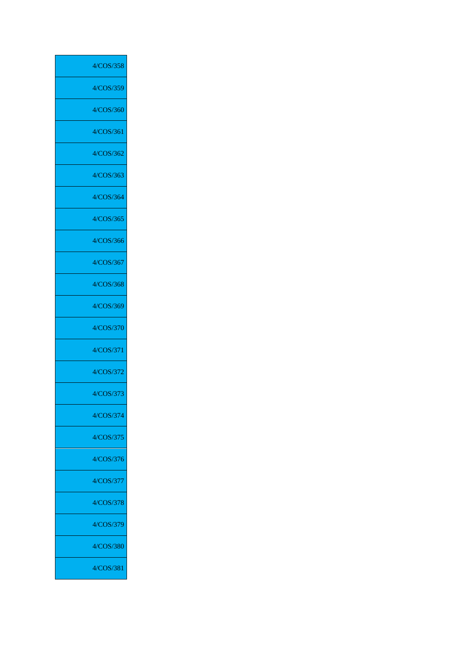| 4/COS/358 |
|-----------|
| 4/COS/359 |
| 4/COS/360 |
| 4/COS/361 |
| 4/COS/362 |
| 4/COS/363 |
| 4/COS/364 |
| 4/COS/365 |
| 4/COS/366 |
| 4/COS/367 |
| 4/COS/368 |
| 4/COS/369 |
| 4/COS/370 |
| 4/COS/371 |
| 4/COS/372 |
| 4/COS/373 |
| 4/COS/374 |
| 4/COS/375 |
| 4/COS/376 |
| 4/COS/377 |
| 4/COS/378 |
| 4/COS/379 |
| 4/COS/380 |
| 4/COS/381 |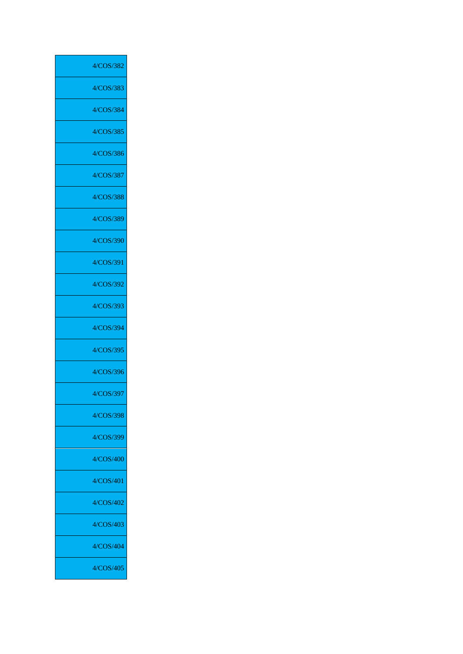| 4/COS/382 |
|-----------|
| 4/COS/383 |
| 4/COS/384 |
| 4/COS/385 |
| 4/COS/386 |
| 4/COS/387 |
| 4/COS/388 |
| 4/COS/389 |
| 4/COS/390 |
| 4/COS/391 |
| 4/COS/392 |
| 4/COS/393 |
| 4/COS/394 |
| 4/COS/395 |
| 4/COS/396 |
| 4/COS/397 |
| 4/COS/398 |
| 4/COS/399 |
| 4/COS/400 |
| 4/COS/401 |
| 4/COS/402 |
| 4/COS/403 |
| 4/COS/404 |
| 4/COS/405 |
|           |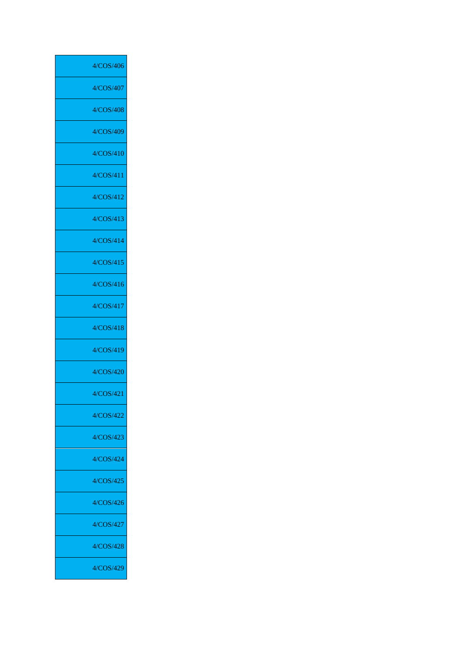| 4/COS/406 |
|-----------|
| 4/COS/407 |
| 4/COS/408 |
| 4/COS/409 |
| 4/COS/410 |
| 4/COS/411 |
| 4/COS/412 |
| 4/COS/413 |
| 4/COS/414 |
| 4/COS/415 |
| 4/COS/416 |
| 4/COS/417 |
| 4/COS/418 |
| 4/COS/419 |
| 4/COS/420 |
| 4/COS/421 |
| 4/COS/422 |
| 4/COS/423 |
| 4/COS/424 |
| 4/COS/425 |
| 4/COS/426 |
| 4/COS/427 |
| 4/COS/428 |
| 4/COS/429 |
|           |